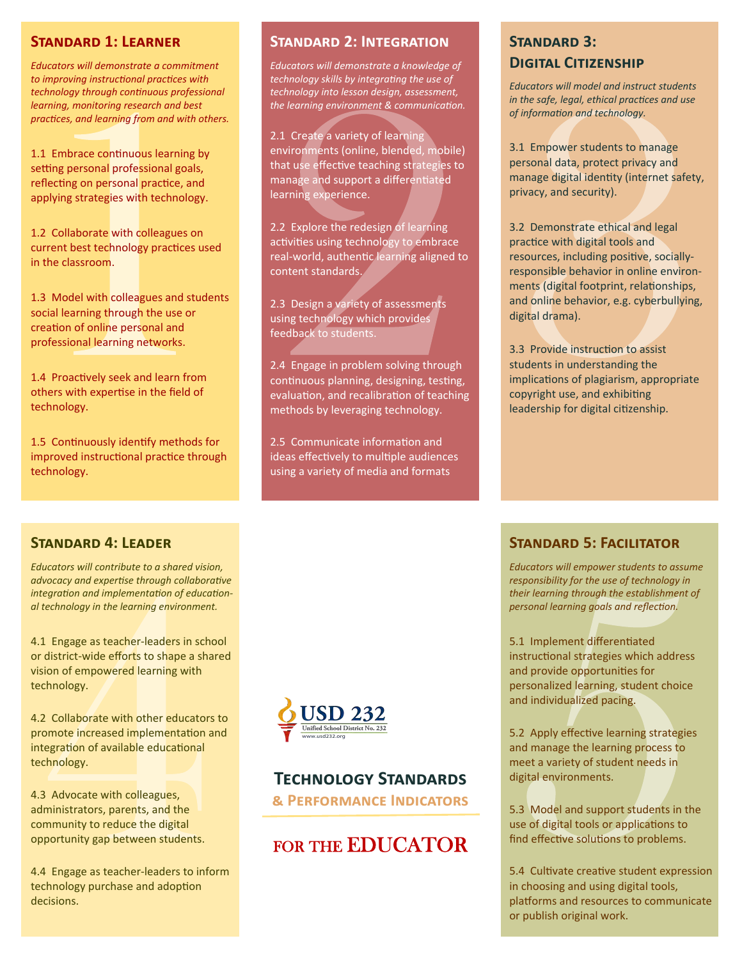### **STANDARD 1: LEARNER**

Educators will demonstrate a commitment to improving instructional practices with technology through continuous professional learning, monitoring research and best practices, and learning from and with others.

1.1 Embrace continuous learning by setting personal professional goals, reflecting on personal practice, and applying strategies with technology.

1.2 Collaborate with colleagues on current best technology practices used in the classroom.

1.3 Model with colleagues and students social learning through the use or creation of online personal and professional learning networks.

1.4 Proactively seek and learn from others with expertise in the field of technology.

1.5 Continuously identify methods for improved instructional practice through technology.

#### **STANDARD 2: INTEGRATION**

Educators will demonstrate a knowledge of technology skills by integrating the use of technology into lesson design, assessment, the learning environment & communication.

2.1 Create a variety of learning environments (online, blended, mobile) that use effective teaching strategies to manage and support a differentiated learning experience.

2.2 Explore the redesign of learning activities using technology to embrace real-world, authentic learning aligned to content standards.

2.3 Design a variety of assessments using technology which provides feedback to students.

2.4 Engage in problem solving through continuous planning, designing, testing, evaluation, and recalibration of teaching methods by leveraging technology.

2.5 Communicate information and ideas effectively to multiple audiences using a variety of media and formats

# **STANDARD 3: DIGITAL CITIZENSHIP**

**Educators will model and instruct students** in the safe, legal, ethical practices and use of information and technology.

3.1 Empower students to manage personal data, protect privacy and manage digital identity (internet safety, privacy, and security).

3.2 Demonstrate ethical and legal practice with digital tools and resources, including positive, sociallyresponsible behavior in online environments (digital footprint, relationships, and online behavior, e.g. cyberbullying, digital drama).

3.3 Provide instruction to assist students in understanding the implications of plagiarism, appropriate copyright use, and exhibiting leadership for digital citizenship.

## **STANDARD 4: LEADER**

Educators will contribute to a shared vision, advocacy and expertise through collaborative integration and implementation of educational technology in the learning environment.

4.1 Engage as teacher-leaders in school or district-wide efforts to shape a shared vision of empowered learning with technology.

4.2 Collaborate with other educators to promote increased implementation and integration of available educational technology.

4.3 Advocate with colleagues, administrators, parents, and the community to reduce the digital opportunity gap between students.

4.4 Engage as teacher-leaders to inform technology purchase and adoption decisions.



# **TECHNOLOGY STANDARDS**

**& PERFORMANCE INDICATORS** 

# FOR THE EDUCATOR

#### **STANDARD 5: FACILITATOR**

Educators will empower students to assume responsibility for the use of technology in their learning through the establishment of personal learning goals and reflection.

5.1 Implement differentiated instructional strategies which address and provide opportunities for personalized learning, student choice and individualized pacing.

5.2 Apply effective learning strategies and manage the learning process to meet a variety of student needs in digital environments.

5.3 Model and support students in the use of digital tools or applications to find effective solutions to problems.

5.4 Cultivate creative student expression in choosing and using digital tools, platforms and resources to communicate or publish original work.